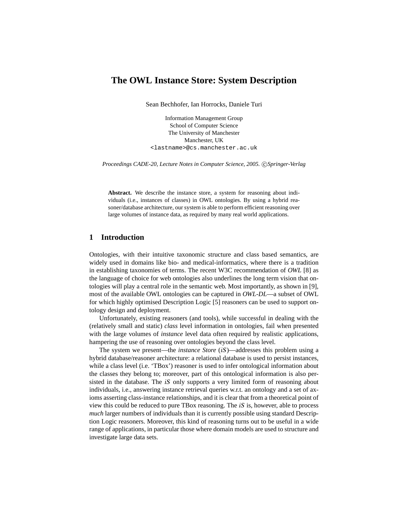# **The OWL Instance Store: System Description**

Sean Bechhofer, Ian Horrocks, Daniele Turi

Information Management Group School of Computer Science The University of Manchester Manchester, UK <lastname>@cs.manchester.ac.uk

Proceedings CADE-20, Lecture Notes in Computer Science, 2005. ©Springer-Verlag

**Abstract.** We describe the instance store, a system for reasoning about individuals (i.e., instances of classes) in OWL ontologies. By using a hybrid reasoner/database architecture, our system is able to perform efficient reasoning over large volumes of instance data, as required by many real world applications.

## **1 Introduction**

Ontologies, with their intuitive taxonomic structure and class based semantics, are widely used in domains like bio- and medical-informatics, where there is a tradition in establishing taxonomies of terms. The recent W3C recommendation of *OWL* [8] as the language of choice for web ontologies also underlines the long term vision that ontologies will play a central role in the semantic web. Most importantly, as shown in [9], most of the available OWL ontologies can be captured in *OWL-DL*—a subset of OWL for which highly optimised Description Logic [5] reasoners can be used to support ontology design and deployment.

Unfortunately, existing reasoners (and tools), while successful in dealing with the (relatively small and static) *class* level information in ontologies, fail when presented with the large volumes of *instance* level data often required by realistic applications, hampering the use of reasoning over ontologies beyond the class level.

The system we present—the *instance Store* (iS)—addresses this problem using a hybrid database/reasoner architecture: a relational database is used to persist instances, while a class level (i.e. 'TBox') reasoner is used to infer ontological information about the classes they belong to; moreover, part of this ontological information is also persisted in the database. The *iS* only supports a very limited form of reasoning about individuals, i.e., answering instance retrieval queries w.r.t. an ontology and a set of axioms asserting class-instance relationships, and it is clear that from a theoretical point of view this could be reduced to pure TBox reasoning. The iS is, however, able to process *much* larger numbers of individuals than it is currently possible using standard Description Logic reasoners. Moreover, this kind of reasoning turns out to be useful in a wide range of applications, in particular those where domain models are used to structure and investigate large data sets.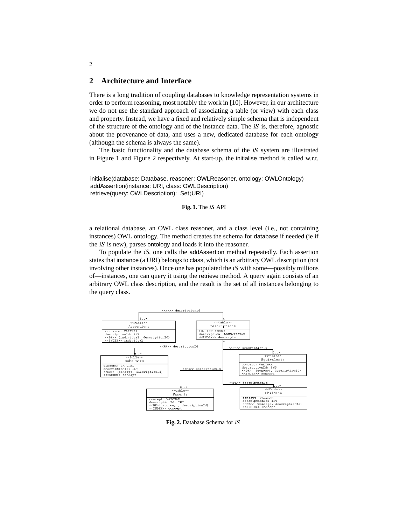### **2 Architecture and Interface**

There is a long tradition of coupling databases to knowledge representation systems in order to perform reasoning, most notably the work in [10]. However, in our architecture we do not use the standard approach of associating a table (or view) with each class and property. Instead, we have a fixed and relatively simple schema that is independent of the structure of the ontology and of the instance data. The iS is, therefore, agnostic about the provenance of data, and uses a new, dedicated database for each ontology (although the schema is always the same).

The basic functionality and the database schema of the iS system are illustrated in Figure 1 and Figure 2 respectively. At start-up, the initialise method is called w.r.t.

initialise(database: Database, reasoner: OWLReasoner, ontology: OWLOntology) addAssertion(instance: URI, class: OWLDescription) retrieve(query: OWLDescription): Set $\langle \text{URI} \rangle$ 

#### **Fig. 1.** The iS API

a relational database, an OWL class reasoner, and a class level (i.e., not containing instances) OWL ontology. The method creates the schema for database if needed (ie if the iS is new), parses ontology and loads it into the reasoner.

To populate the iS, one calls the addAssertion method repeatedly. Each assertion states that instance (a URI) belongs to class, which is an arbitrary OWL description (not involving other instances). Once one has populated the iS with some—possibly millions of—instances, one can query it using the retrieve method. A query again consists of an arbitrary OWL class description, and the result is the set of all instances belonging to the query class.



**Fig. 2.** Database Schema for iS

2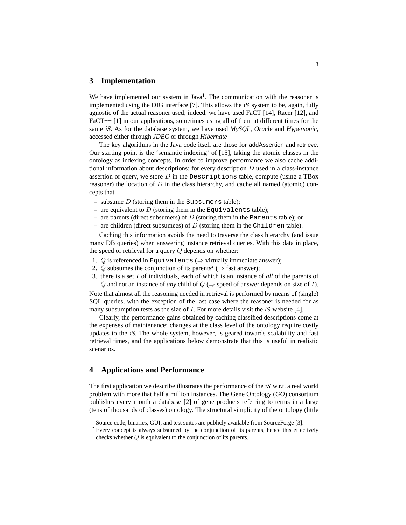### **3 Implementation**

We have implemented our system in  $Java<sup>1</sup>$ . The communication with the reasoner is implemented using the DIG interface [7]. This allows the iS system to be, again, fully agnostic of the actual reasoner used; indeed, we have used FaCT [14], Racer [12], and FaCT++ [1] in our applications, sometimes using all of them at different times for the same iS. As for the database system, we have used *MySQL*, *Oracle* and *Hypersonic*, accessed either through *JDBC* or through *Hibernate*

The key algorithms in the Java code itself are those for addAssertion and retrieve. Our starting point is the 'semantic indexing' of [15], taking the atomic classes in the ontology as indexing concepts. In order to improve performance we also cache additional information about descriptions: for every description  $D$  used in a class-instance assertion or query, we store  $D$  in the Descriptions table, compute (using a TBox reasoner) the location of  $D$  in the class hierarchy, and cache all named (atomic) concepts that

- **–** subsume D (storing them in the Subsumers table);
- **–** are equivalent to D (storing them in the Equivalents table);
- **–** are parents (direct subsumers) of D (storing them in the Parents table); or
- **–** are children (direct subsumees) of D (storing them in the Children table).

Caching this information avoids the need to traverse the class hierarchy (and issue many DB queries) when answering instance retrieval queries. With this data in place, the speed of retrieval for a query  $Q$  depends on whether:

- 1. Q is referenced in Equivalents ( $\Rightarrow$  virtually immediate answer);
- 2. Q subsumes the conjunction of its parents<sup>2</sup> ( $\Rightarrow$  fast answer);
- 3. there is a set I of individuals, each of which is an instance of *all* of the parents of Q and not an instance of *any* child of  $Q \implies$  speed of answer depends on size of *I*).

Note that almost all the reasoning needed in retrieval is performed by means of (single) SQL queries, with the exception of the last case where the reasoner is needed for as many subsumption tests as the size of  $I$ . For more details visit the *iS* website [4].

Clearly, the performance gains obtained by caching classified descriptions come at the expenses of maintenance: changes at the class level of the ontology require costly updates to the iS. The whole system, however, is geared towards scalability and fast retrieval times, and the applications below demonstrate that this is useful in realistic scenarios.

## **4 Applications and Performance**

The first application we describe illustrates the performance of the *iS* w.r.t. a real world problem with more that half a million instances. The Gene Ontology (*GO*) consortium publishes every month a database [2] of gene products referring to terms in a large (tens of thousands of classes) ontology. The structural simplicity of the ontology (little

<sup>&</sup>lt;sup>1</sup> Source code, binaries, GUI, and test suites are publicly available from SourceForge [3].

<sup>&</sup>lt;sup>2</sup> Every concept is always subsumed by the conjunction of its parents, hence this effectively checks whether Q is equivalent to the conjunction of its parents.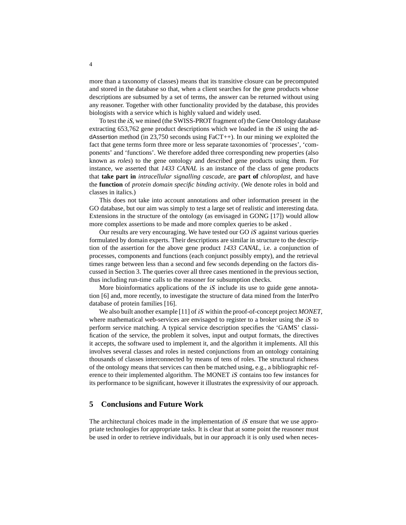more than a taxonomy of classes) means that its transitive closure can be precomputed and stored in the database so that, when a client searches for the gene products whose descriptions are subsumed by a set of terms, the answer can be returned without using any reasoner. Together with other functionality provided by the database, this provides biologists with a service which is highly valued and widely used.

To test the iS, we mined (the SWISS-PROT fragment of) the Gene Ontology database extracting 653,762 gene product descriptions which we loaded in the *iS* using the addAssertion method (in 23,750 seconds using FaCT++). In our mining we exploited the fact that gene terms form three more or less separate taxonomies of 'processes', 'components' and 'functions'. We therefore added three corresponding new properties (also known as *roles*) to the gene ontology and described gene products using them. For instance, we asserted that *1433 CANAL* is an instance of the class of gene products that **take part in** *intracellular signalling cascade*, are **part of** *chloroplast*, and have the **function** of *protein domain specific binding activity*. (We denote roles in bold and classes in italics.)

This does not take into account annotations and other information present in the GO database, but our aim was simply to test a large set of realistic and interesting data. Extensions in the structure of the ontology (as envisaged in GONG [17]) would allow more complex assertions to be made and more complex queries to be asked .

Our results are very encouraging. We have tested our GO iS against various queries formulated by domain experts. Their descriptions are similar in structure to the description of the assertion for the above gene product *1433 CANAL*, i.e. a conjunction of processes, components and functions (each conjunct possibly empty), and the retrieval times range between less than a second and few seconds depending on the factors discussed in Section 3. The queries cover all three cases mentioned in the previous section, thus including run-time calls to the reasoner for subsumption checks.

More bioinformatics applications of the *iS* include its use to guide gene annotation [6] and, more recently, to investigate the structure of data mined from the InterPro database of protein families [16].

We also built another example [11] of *iS* within the proof-of-concept project *MONET*, where mathematical web-services are envisaged to register to a broker using the *iS* to perform service matching. A typical service description specifies the 'GAMS' classification of the service, the problem it solves, input and output formats, the directives it accepts, the software used to implement it, and the algorithm it implements. All this involves several classes and roles in nested conjunctions from an ontology containing thousands of classes interconnected by means of tens of roles. The structural richness of the ontology means that services can then be matched using, e.g., a bibliographic reference to their implemented algorithm. The MONET iS contains too few instances for its performance to be significant, however it illustrates the expressivity of our approach.

## **5 Conclusions and Future Work**

The architectural choices made in the implementation of iS ensure that we use appropriate technologies for appropriate tasks. It is clear that at some point the reasoner must be used in order to retrieve individuals, but in our approach it is only used when neces